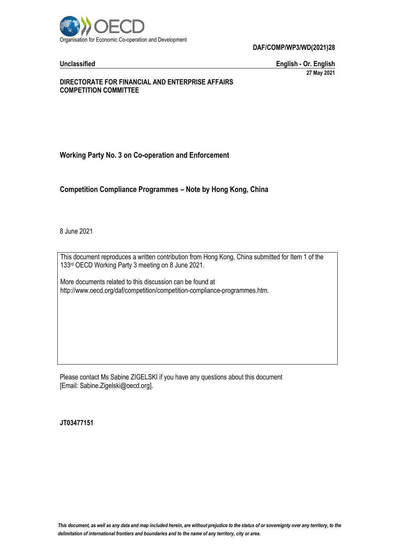

**DAF/COMP/WP3/WD(2021)28**

**Unclassified English - Or. English 27 May 2021**

#### **DIRECTORATE FOR FINANCIAL AND ENTERPRISE AFFAIRS COMPETITION COMMITTEE**

# **Working Party No. 3 on Co-operation and Enforcement**

**Competition Compliance Programmes – Note by Hong Kong, China**

8 June 2021

This document reproduces a written contribution from Hong Kong, China submitted for Item 1 of the 133rd OECD Working Party 3 meeting on 8 June 2021.

More documents related to this discussion can be found at http://www.oecd.org/daf/competition/competition-compliance-programmes.htm.

Please contact Ms Sabine ZIGELSKI if you have any questions about this document [Email: Sabine.Zigelski@oecd.org].

**JT03477151**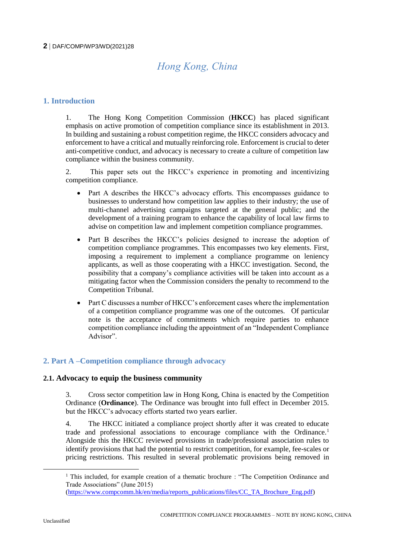# *Hong Kong, China*

# **1. Introduction**

1. The Hong Kong Competition Commission (**HKCC**) has placed significant emphasis on active promotion of competition compliance since its establishment in 2013. In building and sustaining a robust competition regime, the HKCC considers advocacy and enforcement to have a critical and mutually reinforcing role. Enforcement is crucial to deter anti-competitive conduct, and advocacy is necessary to create a culture of competition law compliance within the business community.

2. This paper sets out the HKCC's experience in promoting and incentivizing competition compliance.

- Part A describes the HKCC's advocacy efforts. This encompasses guidance to businesses to understand how competition law applies to their industry; the use of multi-channel advertising campaigns targeted at the general public; and the development of a training program to enhance the capability of local law firms to advise on competition law and implement competition compliance programmes.
- Part B describes the HKCC's policies designed to increase the adoption of competition compliance programmes. This encompasses two key elements. First, imposing a requirement to implement a compliance programme on leniency applicants, as well as those cooperating with a HKCC investigation. Second, the possibility that a company's compliance activities will be taken into account as a mitigating factor when the Commission considers the penalty to recommend to the Competition Tribunal.
- Part C discusses a number of HKCC's enforcement cases where the implementation of a competition compliance programme was one of the outcomes. Of particular note is the acceptance of commitments which require parties to enhance competition compliance including the appointment of an "Independent Compliance Advisor".

# **2. Part A –Competition compliance through advocacy**

### **2.1. Advocacy to equip the business community**

3. Cross sector competition law in Hong Kong, China is enacted by the Competition Ordinance (**Ordinance**). The Ordinance was brought into full effect in December 2015. but the HKCC's advocacy efforts started two years earlier.

4. The HKCC initiated a compliance project shortly after it was created to educate trade and professional associations to encourage compliance with the Ordinance.<sup>1</sup> Alongside this the HKCC reviewed provisions in trade/professional association rules to identify provisions that had the potential to restrict competition, for example, fee-scales or pricing restrictions. This resulted in several problematic provisions being removed in

 $\overline{a}$ 

<sup>&</sup>lt;sup>1</sup> This included, for example creation of a thematic brochure : "The Competition Ordinance and Trade Associations" (June 2015)

[<sup>\(</sup>https://www.compcomm.hk/en/media/reports\\_publications/files/CC\\_TA\\_Brochure\\_Eng.pdf\)](https://www.compcomm.hk/en/media/reports_publications/files/CC_TA_Brochure_Eng.pdf)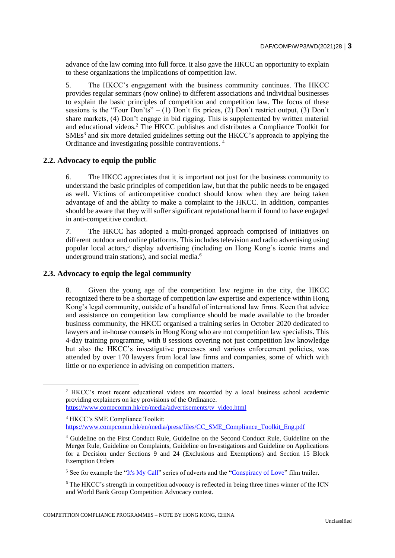advance of the law coming into full force. It also gave the HKCC an opportunity to explain to these organizations the implications of competition law.

5. The HKCC's engagement with the business community continues. The HKCC provides regular seminars (now online) to different associations and individual businesses to explain the basic principles of competition and competition law. The focus of these sessions is the "Four Don'ts" – (1) Don't fix prices, (2) Don't restrict output, (3) Don't share markets, (4) Don't engage in bid rigging. This is supplemented by written material and educational videos.<sup>2</sup> The HKCC publishes and distributes a Compliance Toolkit for  $SMEs<sup>3</sup>$  and six more detailed guidelines setting out the HKCC's approach to applying the Ordinance and investigating possible contraventions. <sup>4</sup>

#### **2.2. Advocacy to equip the public**

6. The HKCC appreciates that it is important not just for the business community to understand the basic principles of competition law, but that the public needs to be engaged as well. Victims of anticompetitive conduct should know when they are being taken advantage of and the ability to make a complaint to the HKCC. In addition, companies should be aware that they will suffer significant reputational harm if found to have engaged in anti-competitive conduct.

*7.* The HKCC has adopted a multi-pronged approach comprised of initiatives on different outdoor and online platforms. This includes television and radio advertising using popular local actors,<sup>5</sup> display advertising (including on Hong Kong's iconic trams and underground train stations), and social media.<sup>6</sup>

#### <span id="page-2-0"></span>**2.3. Advocacy to equip the legal community**

 $\overline{a}$ 

8. Given the young age of the competition law regime in the city, the HKCC recognized there to be a shortage of competition law expertise and experience within Hong Kong's legal community, outside of a handful of international law firms. Keen that advice and assistance on competition law compliance should be made available to the broader business community, the HKCC organised a training series in October 2020 dedicated to lawyers and in-house counsels in Hong Kong who are not competition law specialists. This 4-day training programme, with 8 sessions covering not just competition law knowledge but also the HKCC's investigative processes and various enforcement policies, was attended by over 170 lawyers from local law firms and companies, some of which with little or no experience in advising on competition matters.

<sup>2</sup> HKCC's most recent educational videos are recorded by a local business school academic providing explainers on key provisions of the Ordinance. [https://www.compcomm.hk/en/media/advertisements/tv\\_video.html](https://www.compcomm.hk/en/media/advertisements/tv_video.html)

<sup>3</sup> HKCC's SME Compliance Toolkit: [https://www.compcomm.hk/en/media/press/files/CC\\_SME\\_Compliance\\_Toolkit\\_Eng.pdf](https://www.compcomm.hk/en/media/press/files/CC_SME_Compliance_Toolkit_Eng.pdf)

<sup>4</sup> Guideline on the First Conduct Rule, Guideline on the Second Conduct Rule, Guideline on the Merger Rule, Guideline on Complaints, Guideline on Investigations and Guideline on Applications for a Decision under Sections 9 and 24 (Exclusions and Exemptions) and Section 15 Block Exemption Orders

<sup>&</sup>lt;sup>5</sup> See for example the ["It's My Call"](https://www.youtube.com/watch?v=RibtD5udg_E) series of adverts and the ["Conspiracy of Love"](https://youtu.be/kzf-ZW7qWCc) film trailer.

<sup>6</sup> The HKCC's strength in competition advocacy is reflected in being three times winner of the ICN and World Bank Group Competition Advocacy contest.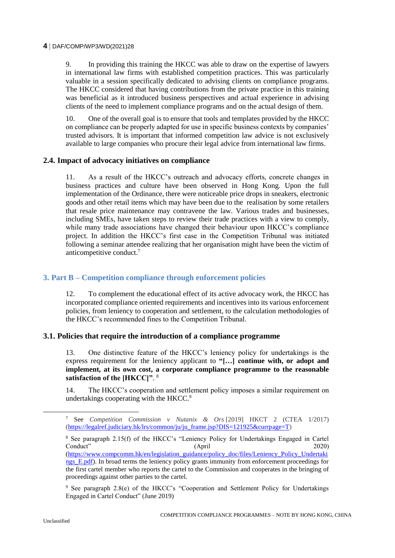#### **4** DAF/COMP/WP3/WD(2021)28

9. In providing this training the HKCC was able to draw on the expertise of lawyers in international law firms with established competition practices. This was particularly valuable in a session specifically dedicated to advising clients on compliance programs. The HKCC considered that having contributions from the private practice in this training was beneficial as it introduced business perspectives and actual experience in advising clients of the need to implement compliance programs and on the actual design of them.

10. One of the overall goal is to ensure that tools and templates provided by the HKCC on compliance can be properly adapted for use in specific business contexts by companies' trusted advisors. It is important that informed competition law advice is not exclusively available to large companies who procure their legal advice from international law firms.

#### **2.4. Impact of advocacy initiatives on compliance**

11. As a result of the HKCC's outreach and advocacy efforts, concrete changes in business practices and culture have been observed in Hong Kong. Upon the full implementation of the Ordinance, there were noticeable price drops in sneakers, electronic goods and other retail items which may have been due to the realisation by some retailers that resale price maintenance may contravene the law. Various trades and businesses, including SMEs, have taken steps to review their trade practices with a view to comply, while many trade associations have changed their behaviour upon HKCC's compliance project. In addition the HKCC's first case in the Competition Tribunal was initiated following a seminar attendee realizing that her organisation might have been the victim of anticompetitive conduct.<sup>7</sup>

#### **3. Part B – Competition compliance through enforcement policies**

12. To complement the educational effect of its active advocacy work, the HKCC has incorporated compliance oriented requirements and incentives into its various enforcement policies, from leniency to cooperation and settlement, to the calculation methodologies of the HKCC's recommended fines to the Competition Tribunal.

#### **3.1. Policies that require the introduction of a compliance programme**

13. One distinctive feature of the HKCC's leniency policy for undertakings is the express requirement for the leniency applicant to **"[…] continue with, or adopt and implement, at its own cost, a corporate compliance programme to the reasonable satisfaction of the [HKCC]"**. 8

14. The HKCC's cooperation and settlement policy imposes a similar requirement on undertakings cooperating with the HKCC.<sup>9</sup>

<sup>9</sup> See paragraph 2.8(e) of the HKCC's "Cooperation and Settlement Policy for Undertakings Engaged in Cartel Conduct" (June 2019)

<sup>7</sup> See *Competition Commission v Nutanix & Ors* [2019] HKCT 2 (CTEA 1/2017) [\(https://legalref.judiciary.hk/lrs/common/ju/ju\\_frame.jsp?DIS=121925&currpage=T\)](https://legalref.judiciary.hk/lrs/common/ju/ju_frame.jsp?DIS=121925&currpage=T)

<sup>8</sup> See paragraph 2.15(f) of the HKCC's "Leniency Policy for Undertakings Engaged in Cartel Conduct" (April 2020) [\(https://www.compcomm.hk/en/legislation\\_guidance/policy\\_doc/files/Leniency\\_Policy\\_Undertaki](https://www.compcomm.hk/en/legislation_guidance/policy_doc/files/Leniency_Policy_Undertakings_E.pdf) [ngs\\_E.pdf\)](https://www.compcomm.hk/en/legislation_guidance/policy_doc/files/Leniency_Policy_Undertakings_E.pdf). In broad terms the leniency policy grants immunity from enforcement proceedings for the first cartel member who reports the cartel to the Commission and cooperates in the bringing of proceedings against other parties to the cartel.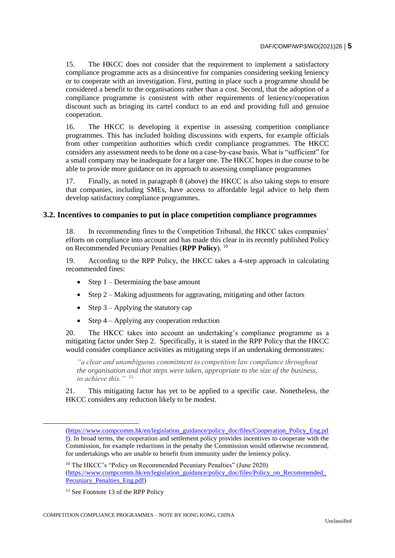15. The HKCC does not consider that the requirement to implement a satisfactory compliance programme acts as a disincentive for companies considering seeking leniency or to cooperate with an investigation. First, putting in place such a programme should be considered a benefit to the organisations rather than a cost. Second, that the adoption of a compliance programme is consistent with other requirements of leniency/cooperation discount such as bringing its cartel conduct to an end and providing full and genuine cooperation.

<span id="page-4-0"></span>16. The HKCC is developing it expertise in assessing competition compliance programmes. This has included holding discussions with experts, for example officials from other competition authorities which credit compliance programmes. The HKCC considers any assessment needs to be done on a case-by-case basis. What is "sufficient" for a small company may be inadequate for a larger one. The HKCC hopes in due course to be able to provide more guidance on its approach to assessing compliance programmes

17. Finally, as noted in paragraph [8](#page-2-0) (above) the HKCC is also taking steps to ensure that companies, including SMEs, have access to affordable legal advice to help them develop satisfactory compliance programmes.

#### **3.2. Incentives to companies to put in place competition compliance programmes**

18. In recommending fines to the Competition Tribunal, the HKCC takes companies' efforts on compliance into account and has made this clear in its recently published Policy on Recommended Pecuniary Penalties (**RPP Policy**). <sup>10</sup>

19. According to the RPP Policy, the HKCC takes a 4-step approach in calculating recommended fines:

- Step  $1 -$  Determining the base amount
- Step  $2 -$  Making adjustments for aggravating, mitigating and other factors
- Step  $3 -$  Applying the statutory cap
- Step 4 Applying any cooperation reduction

20. The HKCC takes into account an undertaking's compliance programme as a mitigating factor under Step 2. Specifically, it is stated in the RPP Policy that the HKCC would consider compliance activities as mitigating steps if an undertaking demonstrates:

*"a clear and unambiguous commitment to competition law compliance throughout the organisation and that steps were taken, appropriate to the size of the business, to achieve this."* <sup>11</sup> 

21. This mitigating factor has yet to be applied to a specific case. Nonetheless, the HKCC considers any reduction likely to be modest.

[<sup>\(</sup>https://www.compcomm.hk/en/legislation\\_guidance/policy\\_doc/files/Cooperation\\_Policy\\_Eng.pd](https://www.compcomm.hk/en/legislation_guidance/policy_doc/files/Cooperation_Policy_Eng.pdf) [f\)](https://www.compcomm.hk/en/legislation_guidance/policy_doc/files/Cooperation_Policy_Eng.pdf). In broad terms, the cooperation and settlement policy provides incentives to cooperate with the Commission, for example reductions in the penalty the Commission would otherwise recommend, for undertakings who are unable to benefit from immunity under the leniency policy.

<sup>&</sup>lt;sup>10</sup> The HKCC's "Policy on Recommended Pecuniary Penalties" (June 2020) [\(https://www.compcomm.hk/en/legislation\\_guidance/policy\\_doc/files/Policy\\_on\\_Recommended\\_](https://www.compcomm.hk/en/legislation_guidance/policy_doc/files/Policy_on_Recommended_Pecuniary_Penalties_Eng.pdf) Pecuniary Penalties Eng.pdf)

 $11$  See Footnote 13 of the RPP Policy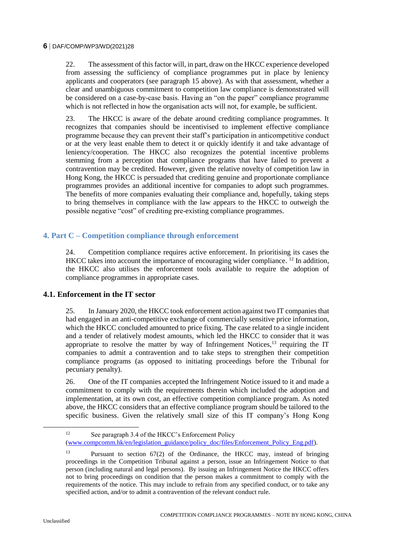22. The assessment of this factor will, in part, draw on the HKCC experience developed from assessing the sufficiency of compliance programmes put in place by leniency applicants and cooperators (see paragraph [15](#page-4-0) above). As with that assessment, whether a clear and unambiguous commitment to competition law compliance is demonstrated will be considered on a case-by-case basis. Having an "on the paper" compliance programme which is not reflected in how the organisation acts will not, for example, be sufficient.

23. The HKCC is aware of the debate around crediting compliance programmes. It recognizes that companies should be incentivised to implement effective compliance programme because they can prevent their staff's participation in anticompetitive conduct or at the very least enable them to detect it or quickly identify it and take advantage of leniency/cooperation. The HKCC also recognizes the potential incentive problems stemming from a perception that compliance programs that have failed to prevent a contravention may be credited. However, given the relative novelty of competition law in Hong Kong, the HKCC is persuaded that crediting genuine and proportionate compliance programmes provides an additional incentive for companies to adopt such programmes. The benefits of more companies evaluating their compliance and, hopefully, taking steps to bring themselves in compliance with the law appears to the HKCC to outweigh the possible negative "cost" of crediting pre-existing compliance programmes.

# **4. Part C – Competition compliance through enforcement**

24. Competition compliance requires active enforcement. In prioritising its cases the HKCC takes into account the importance of encouraging wider compliance. <sup>12</sup> In addition, the HKCC also utilises the enforcement tools available to require the adoption of compliance programmes in appropriate cases.

### **4.1. Enforcement in the IT sector**

25. In January 2020, the HKCC took enforcement action against two IT companies that had engaged in an anti-competitive exchange of commercially sensitive price information, which the HKCC concluded amounted to price fixing. The case related to a single incident and a tender of relatively modest amounts, which led the HKCC to consider that it was appropriate to resolve the matter by way of Infringement Notices, $^{13}$  requiring the IT companies to admit a contravention and to take steps to strengthen their competition compliance programs (as opposed to initiating proceedings before the Tribunal for pecuniary penalty).

26. One of the IT companies accepted the Infringement Notice issued to it and made a commitment to comply with the requirements therein which included the adoption and implementation, at its own cost, an effective competition compliance program. As noted above, the HKCC considers that an effective compliance program should be tailored to the specific business. Given the relatively small size of this IT company's Hong Kong

<sup>&</sup>lt;sup>12</sup> See paragraph 3.4 of the HKCC's Enforcement Policy [\(www.compcomm.hk/en/legislation\\_guidance/policy\\_doc/files/Enforcement\\_Policy\\_Eng.pdf\)](http://www.compcomm.hk/en/legislation_guidance/policy_doc/files/Enforcement_Policy_Eng.pdf).

<sup>13</sup> Pursuant to section 67(2) of the Ordinance, the HKCC may, instead of bringing proceedings in the Competition Tribunal against a person, issue an Infringement Notice to that person (including natural and legal persons). By issuing an Infringement Notice the HKCC offers not to bring proceedings on condition that the person makes a commitment to comply with the requirements of the notice. This may include to refrain from any specified conduct, or to take any specified action, and/or to admit a contravention of the relevant conduct rule.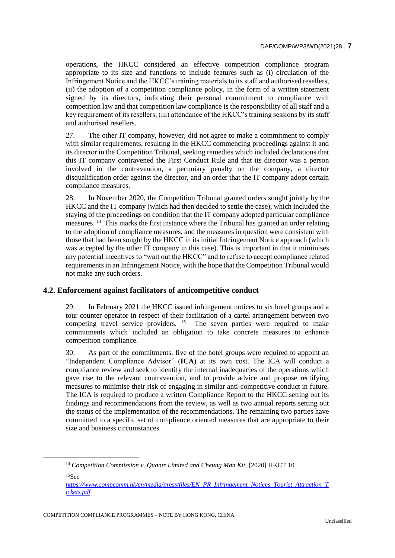operations, the HKCC considered an effective competition compliance program appropriate to its size and functions to include features such as (i) circulation of the Infringement Notice and the HKCC's training materials to its staff and authorised resellers, (ii) the adoption of a competition compliance policy, in the form of a written statement signed by its directors, indicating their personal commitment to compliance with competition law and that competition law compliance is the responsibility of all staff and a key requirement of its resellers, (iii) attendance of the HKCC's training sessions by its staff and authorised resellers.

27. The other IT company, however, did not agree to make a commitment to comply with similar requirements, resulting in the HKCC commencing proceedings against it and its director in the Competition Tribunal, seeking remedies which included declarations that this IT company contravened the First Conduct Rule and that its director was a person involved in the contravention, a pecuniary penalty on the company, a director disqualification order against the director, and an order that the IT company adopt certain compliance measures.

28. In November 2020, the Competition Tribunal granted orders sought jointly by the HKCC and the IT company (which had then decided to settle the case), which included the staying of the proceedings on condition that the IT company adopted particular compliance measures.<sup>14</sup> This marks the first instance where the Tribunal has granted an order relating to the adoption of compliance measures, and the measures in question were consistent with those that had been sought by the HKCC in its initial Infringement Notice approach (which was accepted by the other IT company in this case). This is important in that it minimises any potential incentives to "wait out the HKCC" and to refuse to accept compliance related requirements in an Infringement Notice, with the hope that the Competition Tribunal would not make any such orders.

### **4.2. Enforcement against facilitators of anticompetitive conduct**

29. In February 2021 the HKCC issued infringement notices to six hotel groups and a tour counter operator in respect of their facilitation of a cartel arrangement between two competing travel service providers.  $15$  The seven parties were required to make commitments which included an obligation to take concrete measures to enhance competition compliance.

30. As part of the commitments, five of the hotel groups were required to appoint an "Independent Compliance Advisor" (**ICA**) at its own cost. The ICA will conduct a compliance review and seek to identify the internal inadequacies of the operations which gave rise to the relevant contravention, and to provide advice and propose rectifying measures to minimise their risk of engaging in similar anti-competitive conduct in future. The ICA is required to produce a written Compliance Report to the HKCC setting out its findings and recommendations from the review, as well as two annual reports setting out the status of the implementation of the recommendations. The remaining two parties have committed to a specific set of compliance oriented measures that are appropriate to their size and business circumstances.

<sup>&</sup>lt;sup>14</sup> Competition Commission v. Quantr Limited and Cheung Man Kit, [2020] HKCT 10  $15$ See

*[https://www.compcomm.hk/en/media/press/files/EN\\_PR\\_Infringement\\_Notices\\_Tourist\\_Attraction\\_T](https://www.compcomm.hk/en/media/press/files/EN_PR_Infringement_Notices_Tourist_Attraction_Tickets.pdf) [ickets.pdf](https://www.compcomm.hk/en/media/press/files/EN_PR_Infringement_Notices_Tourist_Attraction_Tickets.pdf)*